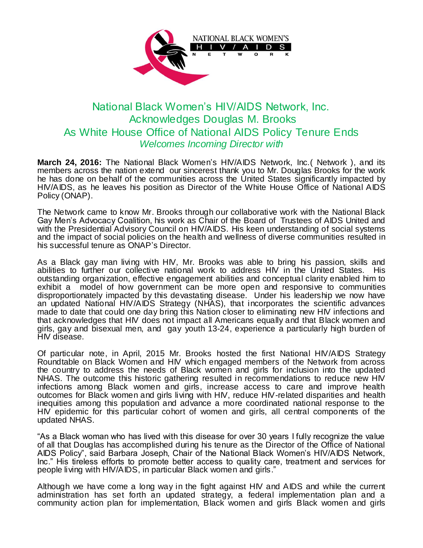

## National Black Women's HIV/AIDS Network, Inc. Acknowledges Douglas M. Brooks As White House Office of National AIDS Policy Tenure Ends *Welcomes Incoming Director with*

**March 24, 2016:** The National Black Women's HIV/AIDS Network, Inc.( Network ), and its members across the nation extend our sincerest thank you to Mr. Douglas Brooks for the work he has done on behalf of the communities across the United States significantly impacted by HIV/AIDS, as he leaves his position as Director of the White House Office of National AIDS Policy (ONAP).

The Network came to know Mr. Brooks through our collaborative work with the National Black Gay Men's Advocacy Coalition, his work as Chair of the Board of Trustees of AIDS United and with the Presidential Advisory Council on HIV/AIDS. His keen understanding of social systems and the impact of social policies on the health and wellness of diverse communities resulted in his successful tenure as ONAP's Director.

As a Black gay man living with HIV, Mr. Brooks was able to bring his passion, skills and abilities to further our collective national work to address HIV in the United States. His outstanding organization, effective engagement abilities and conceptual clarity enabled him to exhibit a model of how government can be more open and responsive to communities disproportionately impacted by this devastating disease. Under his leadership we now have an updated National HIV/AIDS Strategy (NHAS), that incorporates the scientific advances made to date that could one day bring this Nation closer to eliminating new HIV infections and that acknowledges that HIV does not impact all Americans equally and that Black women and girls, gay and bisexual men, and gay youth 13-24, experience a particularly high burden of HIV disease.

Of particular note, in April, 2015 Mr. Brooks hosted the first National HIV/AIDS Strategy Roundtable on Black Women and HIV which engaged members of the Network from across the country to address the needs of Black women and girls for inclusion into the updated NHAS. The outcome this historic gathering resulted in recommendations to reduce new HIV infections among Black women and girls, increase access to care and improve health outcomes for Black women and girls living with HIV, reduce HIV-related disparities and health inequities among this population and advance a more coordinated national response to the HIV epidemic for this particular cohort of women and girls, all central components of the updated NHAS.

"As a Black woman who has lived with this disease for over 30 years I fully recognize the value of all that Douglas has accomplished during his tenure as the Director of the Office of National AIDS Policy", said Barbara Joseph, Chair of the National Black Women's HIV/AIDS Network, Inc." His tireless efforts to promote better access to quality care, treatment and services for people living with HIV/AIDS, in particular Black women and girls."

Although we have come a long way in the fight against HIV and AIDS and while the current administration has set forth an updated strategy, a federal implementation plan and a community action plan for implementation, Black women and girls Black women and girls